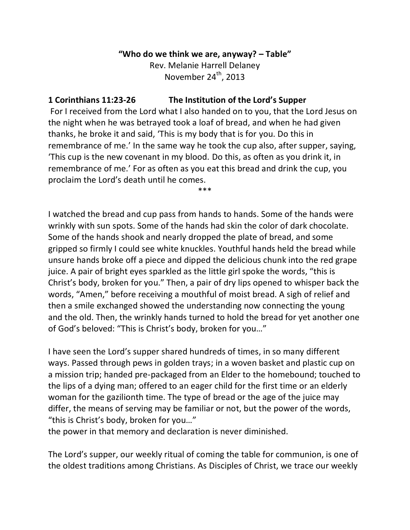## **"Who do we think we are, anyway? – Table"**

Rev. Melanie Harrell Delaney November 24<sup>th</sup>, 2013

## **1 Corinthians 11:23-26 The Institution of the Lord's Supper**

For I received from the Lord what I also handed on to you, that the Lord Jesus on the night when he was betrayed took a loaf of bread, and when he had given thanks, he broke it and said, 'This is my body that is for you. Do this in remembrance of me.' In the same way he took the cup also, after supper, saying, 'This cup is the new covenant in my blood. Do this, as often as you drink it, in remembrance of me.' For as often as you eat this bread and drink the cup, you proclaim the Lord's death until he comes.

\*\*\*

I watched the bread and cup pass from hands to hands. Some of the hands were wrinkly with sun spots. Some of the hands had skin the color of dark chocolate. Some of the hands shook and nearly dropped the plate of bread, and some gripped so firmly I could see white knuckles. Youthful hands held the bread while unsure hands broke off a piece and dipped the delicious chunk into the red grape juice. A pair of bright eyes sparkled as the little girl spoke the words, "this is Christ's body, broken for you." Then, a pair of dry lips opened to whisper back the words, "Amen," before receiving a mouthful of moist bread. A sigh of relief and then a smile exchanged showed the understanding now connecting the young and the old. Then, the wrinkly hands turned to hold the bread for yet another one of God's beloved: "This is Christ's body, broken for you…"

I have seen the Lord's supper shared hundreds of times, in so many different ways. Passed through pews in golden trays; in a woven basket and plastic cup on a mission trip; handed pre-packaged from an Elder to the homebound; touched to the lips of a dying man; offered to an eager child for the first time or an elderly woman for the gazilionth time. The type of bread or the age of the juice may differ, the means of serving may be familiar or not, but the power of the words, "this is Christ's body, broken for you…"

the power in that memory and declaration is never diminished.

The Lord's supper, our weekly ritual of coming the table for communion, is one of the oldest traditions among Christians. As Disciples of Christ, we trace our weekly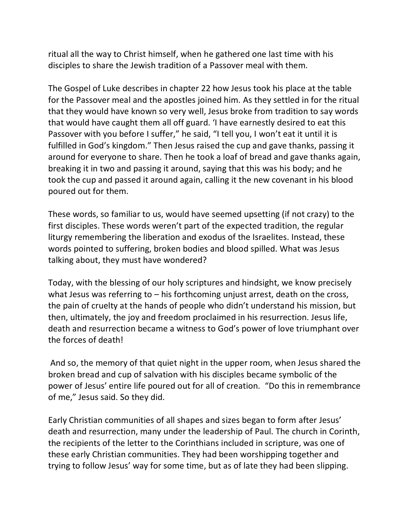ritual all the way to Christ himself, when he gathered one last time with his disciples to share the Jewish tradition of a Passover meal with them.

The Gospel of Luke describes in chapter 22 how Jesus took his place at the table for the Passover meal and the apostles joined him. As they settled in for the ritual that they would have known so very well, Jesus broke from tradition to say words that would have caught them all off guard. 'I have earnestly desired to eat this Passover with you before I suffer," he said, "I tell you, I won't eat it until it is fulfilled in God's kingdom." Then Jesus raised the cup and gave thanks, passing it around for everyone to share. Then he took a loaf of bread and gave thanks again, breaking it in two and passing it around, saying that this was his body; and he took the cup and passed it around again, calling it the new covenant in his blood poured out for them.

These words, so familiar to us, would have seemed upsetting (if not crazy) to the first disciples. These words weren't part of the expected tradition, the regular liturgy remembering the liberation and exodus of the Israelites. Instead, these words pointed to suffering, broken bodies and blood spilled. What was Jesus talking about, they must have wondered?

Today, with the blessing of our holy scriptures and hindsight, we know precisely what Jesus was referring to – his forthcoming unjust arrest, death on the cross, the pain of cruelty at the hands of people who didn't understand his mission, but then, ultimately, the joy and freedom proclaimed in his resurrection. Jesus life, death and resurrection became a witness to God's power of love triumphant over the forces of death!

And so, the memory of that quiet night in the upper room, when Jesus shared the broken bread and cup of salvation with his disciples became symbolic of the power of Jesus' entire life poured out for all of creation. "Do this in remembrance of me," Jesus said. So they did.

Early Christian communities of all shapes and sizes began to form after Jesus' death and resurrection, many under the leadership of Paul. The church in Corinth, the recipients of the letter to the Corinthians included in scripture, was one of these early Christian communities. They had been worshipping together and trying to follow Jesus' way for some time, but as of late they had been slipping.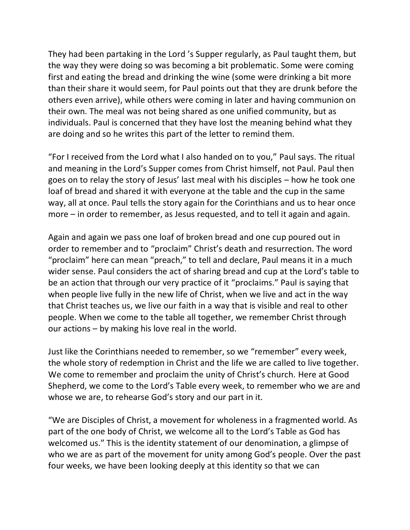They had been partaking in the Lord 's Supper regularly, as Paul taught them, but the way they were doing so was becoming a bit problematic. Some were coming first and eating the bread and drinking the wine (some were drinking a bit more than their share it would seem, for Paul points out that they are drunk before the others even arrive), while others were coming in later and having communion on their own. The meal was not being shared as one unified community, but as individuals. Paul is concerned that they have lost the meaning behind what they are doing and so he writes this part of the letter to remind them.

"For I received from the Lord what I also handed on to you," Paul says. The ritual and meaning in the Lord's Supper comes from Christ himself, not Paul. Paul then goes on to relay the story of Jesus' last meal with his disciples – how he took one loaf of bread and shared it with everyone at the table and the cup in the same way, all at once. Paul tells the story again for the Corinthians and us to hear once more – in order to remember, as Jesus requested, and to tell it again and again.

Again and again we pass one loaf of broken bread and one cup poured out in order to remember and to "proclaim" Christ's death and resurrection. The word "proclaim" here can mean "preach," to tell and declare, Paul means it in a much wider sense. Paul considers the act of sharing bread and cup at the Lord's table to be an action that through our very practice of it "proclaims." Paul is saying that when people live fully in the new life of Christ, when we live and act in the way that Christ teaches us, we live our faith in a way that is visible and real to other people. When we come to the table all together, we remember Christ through our actions – by making his love real in the world.

Just like the Corinthians needed to remember, so we "remember" every week, the whole story of redemption in Christ and the life we are called to live together. We come to remember and proclaim the unity of Christ's church. Here at Good Shepherd, we come to the Lord's Table every week, to remember who we are and whose we are, to rehearse God's story and our part in it.

"We are Disciples of Christ, a movement for wholeness in a fragmented world. As part of the one body of Christ, we welcome all to the Lord's Table as God has welcomed us." This is the identity statement of our denomination, a glimpse of who we are as part of the movement for unity among God's people. Over the past four weeks, we have been looking deeply at this identity so that we can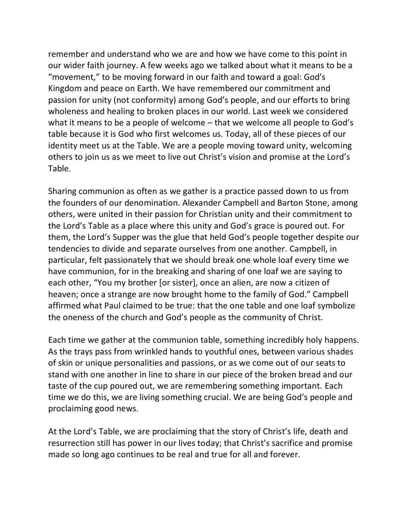remember and understand who we are and how we have come to this point in our wider faith journey. A few weeks ago we talked about what it means to be a "movement," to be moving forward in our faith and toward a goal: God's Kingdom and peace on Earth. We have remembered our commitment and passion for unity (not conformity) among God's people, and our efforts to bring wholeness and healing to broken places in our world. Last week we considered what it means to be a people of welcome – that we welcome all people to God's table because it is God who first welcomes us. Today, all of these pieces of our identity meet us at the Table. We are a people moving toward unity, welcoming others to join us as we meet to live out Christ's vision and promise at the Lord's Table.

Sharing communion as often as we gather is a practice passed down to us from the founders of our denomination. Alexander Campbell and Barton Stone, among others, were united in their passion for Christian unity and their commitment to the Lord's Table as a place where this unity and God's grace is poured out. For them, the Lord's Supper was the glue that held God's people together despite our tendencies to divide and separate ourselves from one another. Campbell, in particular, felt passionately that we should break one whole loaf every time we have communion, for in the breaking and sharing of one loaf we are saying to each other, "You my brother [or sister], once an alien, are now a citizen of heaven; once a strange are now brought home to the family of God." Campbell affirmed what Paul claimed to be true: that the one table and one loaf symbolize the oneness of the church and God's people as the community of Christ.

Each time we gather at the communion table, something incredibly holy happens. As the trays pass from wrinkled hands to youthful ones, between various shades of skin or unique personalities and passions, or as we come out of our seats to stand with one another in line to share in our piece of the broken bread and our taste of the cup poured out, we are remembering something important. Each time we do this, we are living something crucial. We are being God's people and proclaiming good news.

At the Lord's Table, we are proclaiming that the story of Christ's life, death and resurrection still has power in our lives today; that Christ's sacrifice and promise made so long ago continues to be real and true for all and forever.